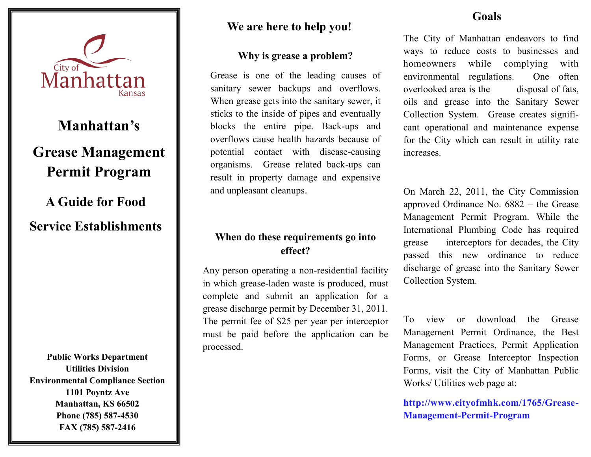

# **We are here to help you!**

#### **Why is grease a problem?**

Grease is one of the leading causes of sanitary sewer backups and overflows. When grease gets into the sanitary sewer, it sticks to the inside of pipes and eventually blocks the entire pipe. Back-ups and overflows cause health hazards because of potential contact with disease-causing organisms. Grease related back-ups can result in property damage and expensive and unpleasant cleanups.

## **When do these requirements go into effect?**

Any person operating a non-residential facility in which grease-laden waste is produced, must complete and submit an application for a grease discharge permit by December 31, 2011. The permit fee of \$25 per year per interceptor must be paid before the application can be processed.

## **Goals**

The City of Manhattan endeavors to find ways to reduce costs to businesses and homeowners while complying with environmental regulations. One often overlooked area is the disposal of fats, oils and grease into the Sanitary Sewer Collection System. Grease creates significant operational and maintenance expense for the City which can result in utility rate increases.

On March 22, 2011, the City Commission approved Ordinance No. 6882 – the Grease Management Permit Program. While the International Plumbing Code has required grease interceptors for decades, the City passed this new ordinance to reduce discharge of grease into the Sanitary Sewer Collection System.

To view or download the Grease Management Permit Ordinance, the Best Management Practices, Permit Application Forms, or Grease Interceptor Inspection Forms, visit the City of Manhattan Public Works/ Utilities web page at:

**http://www.cityofmhk.com/1765/Grease-Management-Permit-Program**